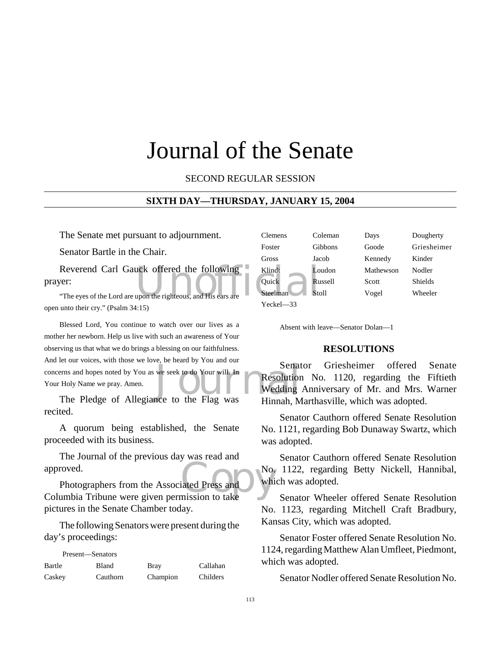# Journal of the Senate

SECOND REGULAR SESSION

#### **SIXTH DAY—THURSDAY, JANUARY 15, 2004**

The Senate met pursuant to adjournment.

Senator Bartle in the Chair.

Reverend Carl Gauck offered the following<br>
Ver:<br>
The eyes of the Lord are upon the righteous, and His ears are<br>
Steelman<br>
Steelman<br>
Steelman<br>
Steelman<br>
Steelman<br>
Steelman<br>
Steelman<br>
Steelman<br>
Steelman<br>
Steelman<br>
Steelman<br> prayer:

"The eyes of the Lord are upon the righteous, and His ears open unto their cry." (Psalm 34:15)

Senat Server, which the Pledge of Allegiance to the Flag was<br>The Pledge of Allegiance to the Flag was<br>Hinnah, M Blessed Lord, You continue to watch over our lives as a mother her newborn. Help us live with such an awareness of Your observing us that what we do brings a blessing on our faithfulness. And let our voices, with those we love, be heard by You and our concerns and hopes noted by You as we seek to do Your will. In Your Holy Name we pray. Amen.

recited.

A quorum being established, the Senate proceeded with its business.

The Journal of the previous day was read and approved.

approved.<br>
Photographers from the Associated Press and<br>
Columbia Tribune were given permission to take Photographers from the Associated Press and pictures in the Senate Chamber today.

The following Senators were present during the day's proceedings:

| Present—Senators |          |             |          |
|------------------|----------|-------------|----------|
| Bartle           | Bland    | <b>Bray</b> | Callahan |
| Caskey           | Cauthorn | Champion    | Childers |

| Clemens   | Coleman      | Days      | Dougherty   |
|-----------|--------------|-----------|-------------|
| Foster    | Gibbons      | Goode     | Griesheimer |
| Gross     | Jacob        | Kennedy   | Kinder      |
| Klindt    | Loudon       | Mathewson | Nodler      |
| Quick     | Russell      | Scott     | Shields     |
| Steelman  | <b>Stoll</b> | Vogel     | Wheeler     |
| Yeckel—33 |              |           |             |

Absent with leave—Senator Dolan—1

#### **RESOLUTIONS**

Senator Griesheimer offered Senate Resolution No. 1120, regarding the Fiftieth Wedding Anniversary of Mr. and Mrs. Warner Hinnah, Marthasville, which was adopted.

Senator Cauthorn offered Senate Resolution No. 1121, regarding Bob Dunaway Swartz, which was adopted.

Senator Cauthorn offered Senate Resolution No. 1122, regarding Betty Nickell, Hannibal, which was adopted.

Senator Wheeler offered Senate Resolution No. 1123, regarding Mitchell Craft Bradbury, Kansas City, which was adopted.

Senator Foster offered Senate Resolution No. 1124, regarding Matthew Alan Umfleet, Piedmont, which was adopted.

Senator Nodler offered Senate Resolution No.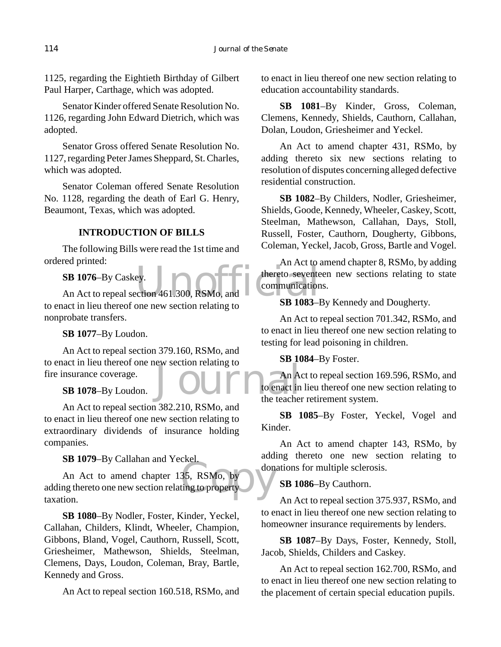1125, regarding the Eightieth Birthday of Gilbert Paul Harper, Carthage, which was adopted.

Senator Kinder offered Senate Resolution No. 1126, regarding John Edward Dietrich, which was adopted.

Senator Gross offered Senate Resolution No. 1127, regarding Peter James Sheppard, St. Charles, which was adopted.

Senator Coleman offered Senate Resolution No. 1128, regarding the death of Earl G. Henry, Beaumont, Texas, which was adopted.

# **INTRODUCTION OF BILLS**

The following Bills were read the 1st time and ordered printed:

**SB 1076**–By Caskey.

SB 1076-By Caskey.<br>An Act to repeal section 461.300, RSMo, and<br>SR 1083-1 to enact in lieu thereof one new section relating to nonprobate transfers.

**SB 1077**–By Loudon.

Even belating to the care of the teacher An Act to repeal section 379.160, RSMo, and to enact in lieu thereof one new section relating to fire insurance coverage.

**SB 1078**–By Loudon.

An Act to repeal section 382.210, RSMo, and to enact in lieu thereof one new section relating to extraordinary dividends of insurance holding companies.

**SB 1079**–By Callahan and Yeckel.

don<br>35, RSMo, by<br>ting to property An Act to amend chapter 135, RSMo, by adding thereto one new section relating to property taxation.

**SB 1080**–By Nodler, Foster, Kinder, Yeckel, Callahan, Childers, Klindt, Wheeler, Champion, Gibbons, Bland, Vogel, Cauthorn, Russell, Scott, Griesheimer, Mathewson, Shields, Steelman, Clemens, Days, Loudon, Coleman, Bray, Bartle, Kennedy and Gross.

An Act to repeal section 160.518, RSMo, and

to enact in lieu thereof one new section relating to education accountability standards.

**SB 1081**–By Kinder, Gross, Coleman, Clemens, Kennedy, Shields, Cauthorn, Callahan, Dolan, Loudon, Griesheimer and Yeckel.

An Act to amend chapter 431, RSMo, by adding thereto six new sections relating to resolution of disputes concerning alleged defective residential construction.

**SB 1082**–By Childers, Nodler, Griesheimer, Shields, Goode, Kennedy, Wheeler, Caskey, Scott, Steelman, Mathewson, Callahan, Days, Stoll, Russell, Foster, Cauthorn, Dougherty, Gibbons, Coleman, Yeckel, Jacob, Gross, Bartle and Vogel.

An Act to amend chapter 8, RSMo, by adding thereto seventeen new sections relating to state communications.

**SB 1083**–By Kennedy and Dougherty.

An Act to repeal section 701.342, RSMo, and to enact in lieu thereof one new section relating to testing for lead poisoning in children.

# **SB 1084**–By Foster.

An Act to repeal section 169.596, RSMo, and to enact in lieu thereof one new section relating to the teacher retirement system.

**SB 1085**–By Foster, Yeckel, Vogel and Kinder.

An Act to amend chapter 143, RSMo, by adding thereto one new section relating to donations for multiple sclerosis.

**SB 1086**–By Cauthorn.

An Act to repeal section 375.937, RSMo, and to enact in lieu thereof one new section relating to homeowner insurance requirements by lenders.

**SB 1087**–By Days, Foster, Kennedy, Stoll, Jacob, Shields, Childers and Caskey.

An Act to repeal section 162.700, RSMo, and to enact in lieu thereof one new section relating to the placement of certain special education pupils.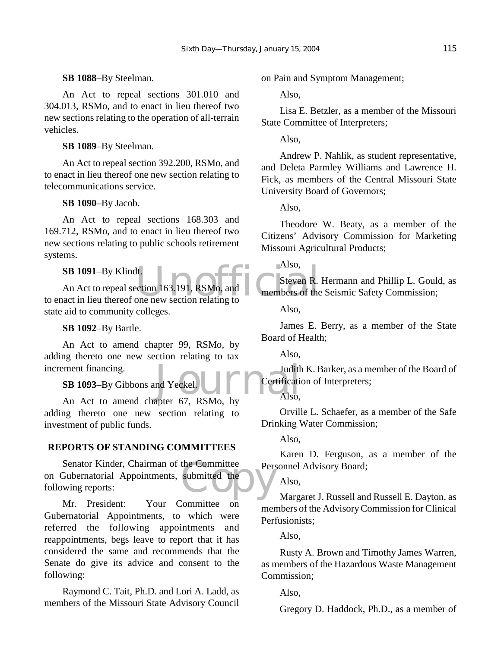## **SB 1088**–By Steelman.

An Act to repeal sections 301.010 and 304.013, RSMo, and to enact in lieu thereof two new sections relating to the operation of all-terrain vehicles.

# **SB 1089**–By Steelman.

An Act to repeal section 392.200, RSMo, and to enact in lieu thereof one new section relating to telecommunications service.

## **SB 1090**–By Jacob.

An Act to repeal sections 168.303 and 169.712, RSMo, and to enact in lieu thereof two new sections relating to public schools retirement systems.

## **SB 1091**–By Klindt.

SB 1091–By Klindt.<br>An Act to repeal section 163.191, RSMo, and<br>to enact in lieu thereof one new section relating to An Act to repeal section 163.191, RSMo, and state aid to community colleges.

## **SB 1092**–By Bartle.

Judith<br>
Independent Certification<br>
Also,<br>
Also, An Act to amend chapter 99, RSMo, by adding thereto one new section relating to tax increment financing.

# **SB 1093**–By Gibbons and Yeckel.

An Act to amend chapter 67, RSMo, by adding thereto one new section relating to investment of public funds.

# **REPORTS OF STANDING COMMITTEES**

the Committee Pers Senator Kinder, Chairman of the Committee on Gubernatorial Appointments, submitted the following reports:

Mr. President: Your Committee on Gubernatorial Appointments, to which were referred the following appointments and reappointments, begs leave to report that it has considered the same and recommends that the Senate do give its advice and consent to the following:

Raymond C. Tait, Ph.D. and Lori A. Ladd, as members of the Missouri State Advisory Council

on Pain and Symptom Management;

Also,

Lisa E. Betzler, as a member of the Missouri State Committee of Interpreters;

Also,

Andrew P. Nahlik, as student representative, and Deleta Parmley Williams and Lawrence H. Fick, as members of the Central Missouri State University Board of Governors;

Also,

Theodore W. Beaty, as a member of the Citizens' Advisory Commission for Marketing Missouri Agricultural Products;

Also,

Steven R. Hermann and Phillip L. Gould, as members of the Seismic Safety Commission;

Also,

James E. Berry, as a member of the State Board of Health;

Also,

Judith K. Barker, as a member of the Board of Certification of Interpreters;

Also,

Orville L. Schaefer, as a member of the Safe Drinking Water Commission;

Also,

Karen D. Ferguson, as a member of the Personnel Advisory Board;

Also,

Margaret J. Russell and Russell E. Dayton, as members of the Advisory Commission for Clinical Perfusionists;

Also,

Rusty A. Brown and Timothy James Warren, as members of the Hazardous Waste Management Commission;

Also,

Gregory D. Haddock, Ph.D., as a member of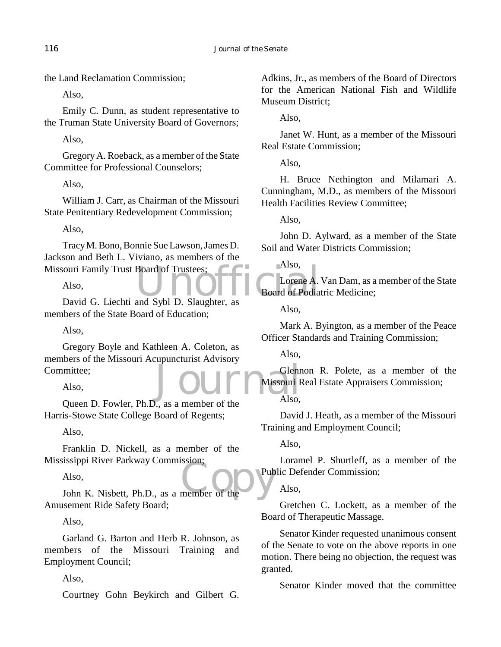the Land Reclamation Commission;

Also,

Emily C. Dunn, as student representative to the Truman State University Board of Governors;

Also,

Gregory A. Roeback, as a member of the State Committee for Professional Counselors;

Also,

William J. Carr, as Chairman of the Missouri State Penitentiary Redevelopment Commission;

Also,

Notifical Couri Family Trust Board of Trustees;<br>
Also,<br>
David G. Liechti and Sybl D. Slaughter, as Tracy M. Bono, Bonnie Sue Lawson, James D. Jackson and Beth L. Viviano, as members of the Missouri Family Trust Board of Trustees;

Also,

members of the State Board of Education;

Also,

Journals Glenr Gregory Boyle and Kathleen A. Coleton, as members of the Missouri Acupuncturist Advisory Committee;

Also,

Queen D. Fowler, Ph.D., as a member of the Harris-Stowe State College Board of Regents;

Also,

Franklin D. Nickell, as a member of the Mississippi River Parkway Commission;

Also,

The Union of the Parkway Commission:<br>
Also,<br>
John K. Nisbett, Ph.D., as a member of the Amusement Ride Safety Board;

Also,

Garland G. Barton and Herb R. Johnson, as members of the Missouri Training and Employment Council;

Also,

Courtney Gohn Beykirch and Gilbert G.

Adkins, Jr., as members of the Board of Directors for the American National Fish and Wildlife Museum District;

Also,

Janet W. Hunt, as a member of the Missouri Real Estate Commission;

Also,

H. Bruce Nethington and Milamari A. Cunningham, M.D., as members of the Missouri Health Facilities Review Committee;

Also,

John D. Aylward, as a member of the State Soil and Water Districts Commission;

Also,

Lorene A. Van Dam, as a member of the State Board of Podiatric Medicine;

Also,

Mark A. Byington, as a member of the Peace Officer Standards and Training Commission;

Also,

Glennon R. Polete, as a member of the Missouri Real Estate Appraisers Commission;

Also,

David J. Heath, as a member of the Missouri Training and Employment Council;

Also,

Loramel P. Shurtleff, as a member of the Public Defender Commission;

Also,

Gretchen C. Lockett, as a member of the Board of Therapeutic Massage.

Senator Kinder requested unanimous consent of the Senate to vote on the above reports in one motion. There being no objection, the request was granted.

Senator Kinder moved that the committee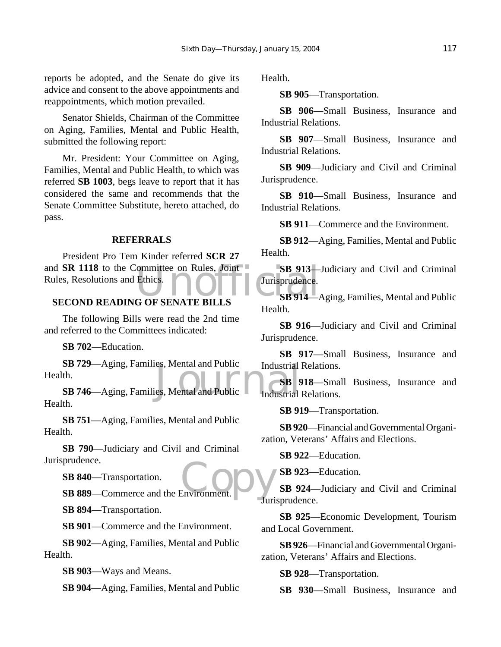reports be adopted, and the Senate do give its advice and consent to the above appointments and reappointments, which motion prevailed.

Senator Shields, Chairman of the Committee on Aging, Families, Mental and Public Health, submitted the following report:

Mr. President: Your Committee on Aging, Families, Mental and Public Health, to which was referred **SB 1003**, begs leave to report that it has considered the same and recommends that the Senate Committee Substitute, hereto attached, do pass.

## **REFERRALS**

and **SR 1118** to the Committee on Rules, Joint SB 913-Rules, Resolutions and Ethics.<br>
SECOND READING OF SENATE BILLS SB 914-7 President Pro Tem Kinder referred **SCR 27** Rules, Resolutions and Ethics.

# **SECOND READING OF SENATE BILLS**

The following Bills were read the 2nd time and referred to the Committees indicated:

**SB 702**—Education.

**SB 729—Aging, Families, Mental and Public**<br> **SB 746**—Aging, Families, Mental and Public<br> **SB 746**—Aging, Families, Mental and Public **SB 729**—Aging, Families, Mental and Public Health.

Health.

**SB 751**—Aging, Families, Mental and Public Health.

**SB 790**—Judiciary and Civil and Criminal Jurisprudence.

**SB 840**—Transportation.

prudence.<br>
SB 840—Transportation.<br>
SB 889—Commerce and the Environment.

**SB 894**—Transportation.

**SB 901**—Commerce and the Environment.

**SB 902**—Aging, Families, Mental and Public Health.

**SB 903**—Ways and Means.

**SB 904**—Aging, Families, Mental and Public

Health.

**SB 905**—Transportation.

**SB 906**—Small Business, Insurance and Industrial Relations.

**SB 907**—Small Business, Insurance and Industrial Relations.

**SB 909**—Judiciary and Civil and Criminal Jurisprudence.

**SB 910**—Small Business, Insurance and Industrial Relations.

**SB 911**—Commerce and the Environment.

**SB 912**—Aging, Families, Mental and Public Health.

**SB 913**—Judiciary and Civil and Criminal Jurisprudence.

**SB 914**—Aging, Families, Mental and Public Health.

**SB 916**—Judiciary and Civil and Criminal Jurisprudence.

**SB 917**—Small Business, Insurance and Industrial Relations.

**SB 918**—Small Business, Insurance and Industrial Relations.

**SB 919**—Transportation.

**SB 920**—Financial and Governmental Organization, Veterans' Affairs and Elections.

**SB 922**—Education.

**SB 923**—Education.

**SB 924**—Judiciary and Civil and Criminal Jurisprudence.

**SB 925**—Economic Development, Tourism and Local Government.

**SB 926**—Financial and Governmental Organization, Veterans' Affairs and Elections.

**SB 928**—Transportation.

**SB 930**—Small Business, Insurance and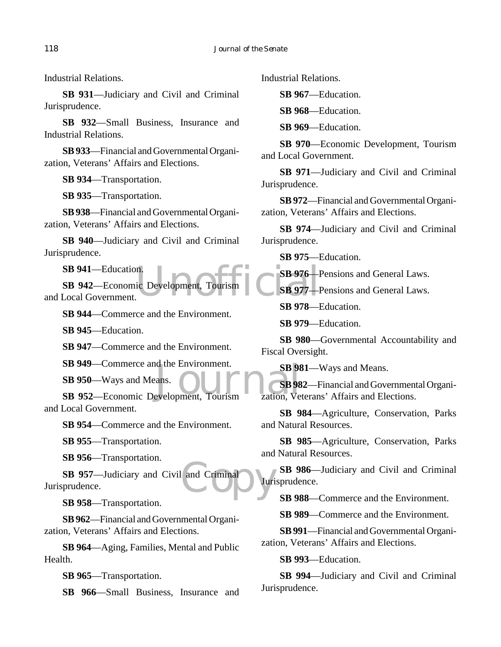Industrial Relations.

**SB 931**—Judiciary and Civil and Criminal Jurisprudence.

**SB 932**—Small Business, Insurance and Industrial Relations.

**SB 933**—Financial and Governmental Organization, Veterans' Affairs and Elections.

**SB 934**—Transportation.

**SB 935**—Transportation.

**SB 938**—Financial and Governmental Organization, Veterans' Affairs and Elections.

**SB 940**—Judiciary and Civil and Criminal Jurisprudence.

**SB 941**—Education.

n.<br>ic Development, Tourism<br>SB 977-1 **SB 942**—Economic Development, Tourism and Local Government.

**SB 944**—Commerce and the Environment.

**SB 945**—Education.

**SB 947**—Commerce and the Environment.

**SB 949**—Commerce and the Environment.

**SB 950**—Ways and Means.

SB 949—Commerce and the Environment.<br>
SB 950—Ways and Means.<br>
SB 952—Economic Development, Tourism zation, Ve and Local Government.

**SB 954**—Commerce and the Environment.

**SB 955**—Transportation.

**SB 956**—Transportation.

and Criminal Juri **SB 957**—Judiciary and Civil and Criminal Jurisprudence.

**SB 958**—Transportation.

**SB 962**—Financial and Governmental Organization, Veterans' Affairs and Elections.

**SB 964**—Aging, Families, Mental and Public Health.

**SB 965**—Transportation.

**SB 966**—Small Business, Insurance and

Industrial Relations.

**SB 967**—Education.

**SB 968**—Education.

**SB 969**—Education.

**SB 970**—Economic Development, Tourism and Local Government.

**SB 971**—Judiciary and Civil and Criminal Jurisprudence.

**SB 972**—Financial and Governmental Organization, Veterans' Affairs and Elections.

**SB 974**—Judiciary and Civil and Criminal Jurisprudence.

**SB 975**—Education.

**SB 976**—Pensions and General Laws.

**SB 977**—Pensions and General Laws.

**SB 978**—Education.

**SB 979**—Education.

**SB 980**—Governmental Accountability and Fiscal Oversight.

**SB 981**—Ways and Means.

**SB 982**—Financial and Governmental Organization, Veterans' Affairs and Elections.

**SB 984**—Agriculture, Conservation, Parks and Natural Resources.

**SB 985**—Agriculture, Conservation, Parks and Natural Resources.

**SB 986**—Judiciary and Civil and Criminal Jurisprudence.

**SB 988**—Commerce and the Environment.

**SB 989**—Commerce and the Environment.

**SB 991**—Financial and Governmental Organization, Veterans' Affairs and Elections.

**SB 993**—Education.

**SB 994**—Judiciary and Civil and Criminal Jurisprudence.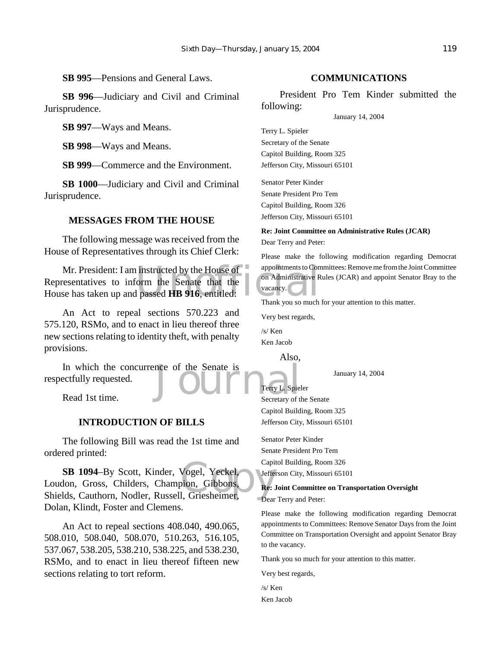**SB 995**—Pensions and General Laws.

**SB 996**—Judiciary and Civil and Criminal Jurisprudence.

**SB 997**—Ways and Means.

**SB 998**—Ways and Means.

**SB 999**—Commerce and the Environment.

**SB 1000**—Judiciary and Civil and Criminal Jurisprudence.

# **MESSAGES FROM THE HOUSE**

The following message was received from the House of Representatives through its Chief Clerk:

instructed by the House of appointments to Contract of the Senate that the passed HB 916, entitled:<br>I passed HB 916, entitled: Thank you so much Mr. President: I am instructed by the House of  $\circ$ Representatives to inform the Senate that the House has taken up and passed **HB 916**, entitled:

An Act to repeal sections 570.223 and 575.120, RSMo, and to enact in lieu thereof three new sections relating to identity theft, with penalty provisions.

In which the concurrence of the Senate is<br>
Example 2021<br>
Interval Secretary of the Senate is<br>
Secretary of the Senate is<br>
Secretary of the Secretary of the Secretary of the Secretary of the Secretary of the Secretary of th respectfully requested.

Read 1st time.

# **INTRODUCTION OF BILLS**

The following Bill was read the 1st time and ordered printed:

Vogel, Yeckel,<br>Dion, Gibbons, Re: Jeffe<br>I, Griesheimer, Dear **SB 1094**–By Scott, Kinder, Vogel, Yeckel, Loudon, Gross, Childers, Champion, Gibbons, Shields, Cauthorn, Nodler, Russell, Griesheimer, Dolan, Klindt, Foster and Clemens.

An Act to repeal sections 408.040, 490.065, 508.010, 508.040, 508.070, 510.263, 516.105, 537.067, 538.205, 538.210, 538.225, and 538.230, RSMo, and to enact in lieu thereof fifteen new sections relating to tort reform.

## **COMMUNICATIONS**

President Pro Tem Kinder submitted the following:

January 14, 2004

Terry L. Spieler Secretary of the Senate Capitol Building, Room 325 Jefferson City, Missouri 65101

Senator Peter Kinder Senate President Pro Tem Capitol Building, Room 326 Jefferson City, Missouri 65101

**Re: Joint Committee on Administrative Rules (JCAR)** Dear Terry and Peter:

Please make the following modification regarding Democrat appointments to Committees: Remove me from the Joint Committee on Administrative Rules (JCAR) and appoint Senator Bray to the vacancy.

Thank you so much for your attention to this matter.

Very best regards,

/s/ Ken Ken Jacob

Also,

January 14, 2004

Terry L. Spieler Secretary of the Senate Capitol Building, Room 325 Jefferson City, Missouri 65101

Senator Peter Kinder Senate President Pro Tem Capitol Building, Room 326 Jefferson City, Missouri 65101

#### **Re: Joint Committee on Transportation Oversight**

Dear Terry and Peter:

Please make the following modification regarding Democrat appointments to Committees: Remove Senator Days from the Joint Committee on Transportation Oversight and appoint Senator Bray to the vacancy.

Thank you so much for your attention to this matter.

Very best regards,

/s/ Ken Ken Jacob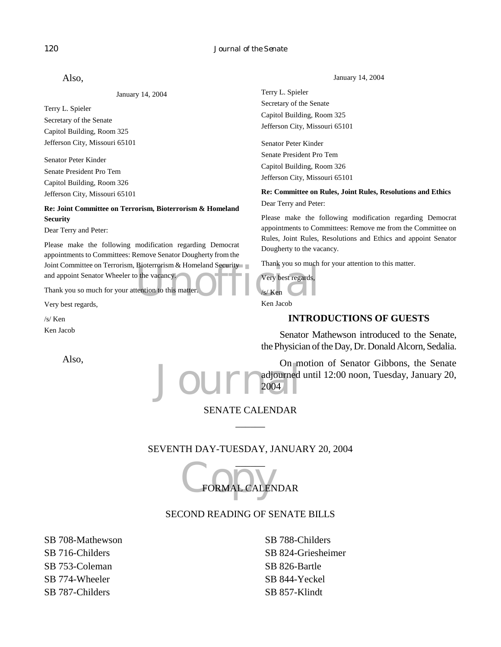#### 120 *Journal of the Senate*

Also,

January 14, 2004

Terry L. Spieler Secretary of the Senate Capitol Building, Room 325 Jefferson City, Missouri 65101

Senator Peter Kinder Senate President Pro Tem Capitol Building, Room 326 Jefferson City, Missouri 65101

**Re: Joint Committee on Terrorism, Bioterrorism & Homeland Security**

Dear Terry and Peter:

Joint Committee on Terrorism, Bioterrorism & Homeland Security<br>
and appoint Senator Wheeler to the vacancy.<br>
Thank you so much for your attention to this matter.<br>
Very best regards,<br>
Very best regards,<br>
Very best regards,<br> Please make the following modification regarding Democrat appointments to Committees: Remove Senator Dougherty from the and appoint Senator Wheeler to the vacancy.

Thank you so much for your attention to this matter.

Very best regards,

/s/ Ken Ken Jacob

Also,

January 14, 2004

Terry L. Spieler Secretary of the Senate Capitol Building, Room 325 Jefferson City, Missouri 65101

Senator Peter Kinder Senate President Pro Tem Capitol Building, Room 326 Jefferson City, Missouri 65101

**Re: Committee on Rules, Joint Rules, Resolutions and Ethics** Dear Terry and Peter:

Please make the following modification regarding Democrat appointments to Committees: Remove me from the Committee on Rules, Joint Rules, Resolutions and Ethics and appoint Senator Dougherty to the vacancy.

Thank you so much for your attention to this matter.

#### Very best regards,

/s/ Ken

Ken Jacob

# **INTRODUCTIONS OF GUESTS**

Senator Mathewson introduced to the Senate, the Physician of the Day, Dr. Donald Alcorn, Sedalia.

Journal on m On motion of Senator Gibbons, the Senate adjourned until 12:00 noon, Tuesday, January 20, 2004

# SENATE CALENDAR  $\overline{\phantom{a}}$

# SEVENTH DAY-TUESDAY, JANUARY 20, 2004

C FORMAL CALEN  $\overline{\phantom{a}}$ FORMAL CALENDAR

# SECOND READING OF SENATE BILLS

SB 708-Mathewson SB 716-Childers SB 753-Coleman SB 774-Wheeler SB 787-Childers

SB 788-Childers SB 824-Griesheimer SB 826-Bartle SB 844-Yeckel SB 857-Klindt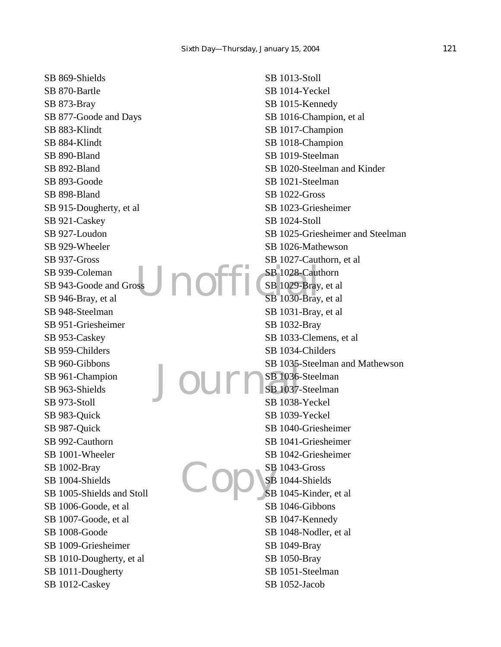no SB 869-Shields SB 870-Bartle SB 873-Bray SB 877-Goode and Days SB 883-Klindt SB 884-Klindt SB 890-Bland SB 892-Bland SB 893-Goode SB 898-Bland SB 915-Dougherty, et al SB 921-Caskey SB 927-Loudon SB 929-Wheeler SB 937-Gross SB 939-Coleman SB 943-Goode and Gross SB 946-Bray, et al SB 948-Steelman SB 951-Griesheimer SB 953-Caskey SB 959-Childers SB 960-Gibbons SB 961-Champion SB 963-Shields SB 973-Stoll SB 983-Quick SB 987-Quick SB 992-Cauthorn SB 1001-Wheeler SB 1002-Bray SB 1004-Shields SB 1005-Shields and Stoll SB 1006-Goode, et al SB 1007-Goode, et al SB 1008-Goode SB 1009-Griesheimer SB 1010-Dougherty, et al SB 1011-Dougherty SB 1012-Caskey

Journal Copys SB 1013-Stoll SB 1014-Yeckel SB 1015-Kennedy SB 1016-Champion, et al SB 1017-Champion SB 1018-Champion SB 1019-Steelman SB 1020-Steelman and Kinder SB 1021-Steelman SB 1022-Gross SB 1023-Griesheimer SB 1024-Stoll SB 1025-Griesheimer and Steelman SB 1026-Mathewson SB 1027-Cauthorn, et al SB 1028-Cauthorn SB 1029-Bray, et al SB 1030-Bray, et al SB 1031-Bray, et al SB 1032-Bray SB 1033-Clemens, et al SB 1034-Childers SB 1035-Steelman and Mathewson SB 1036-Steelman SB 1037-Steelman SB 1038-Yeckel SB 1039-Yeckel SB 1040-Griesheimer SB 1041-Griesheimer SB 1042-Griesheimer SB 1043-Gross SB 1044-Shields SB 1045-Kinder, et al SB 1046-Gibbons SB 1047-Kennedy SB 1048-Nodler, et al SB 1049-Bray SB 1050-Bray SB 1051-Steelman SB 1052-Jacob